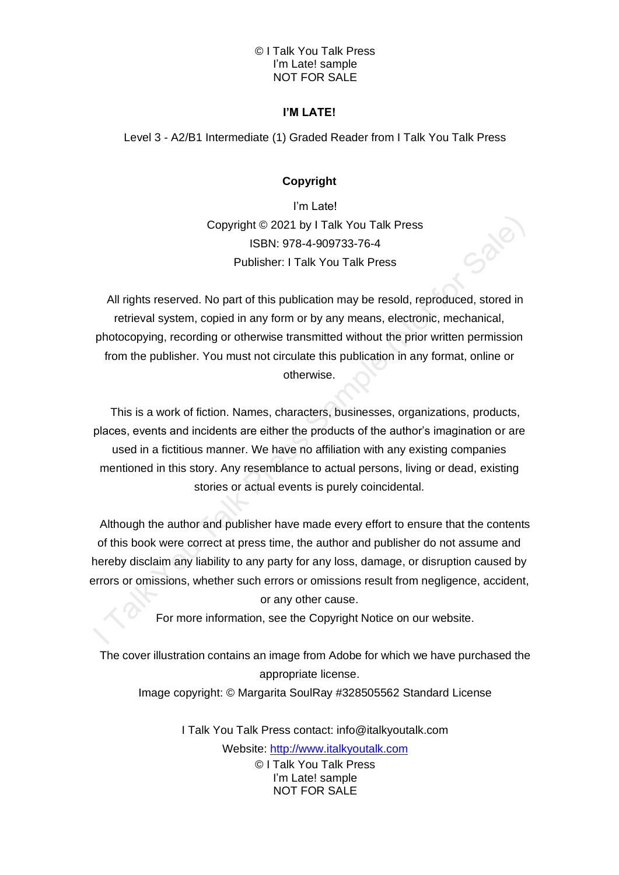## **I'M LATE!**

Level 3 - A2/B1 Intermediate (1) Graded Reader from I Talk You Talk Press

# **Copyright**

I'm Late! Copyright © 2021 by I Talk You Talk Press ISBN: 978-4-909733-76-4 Publisher: I Talk You Talk Press

All rights reserved. No part of this publication may be resold, reproduced, stored in retrieval system, copied in any form or by any means, electronic, mechanical, photocopying, recording or otherwise transmitted without the prior written permission from the publisher. You must not circulate this publication in any format, online or otherwise.

This is a work of fiction. Names, characters, businesses, organizations, products, places, events and incidents are either the products of the author's imagination or are used in a fictitious manner. We have no affiliation with any existing companies mentioned in this story. Any resemblance to actual persons, living or dead, existing stories or actual events is purely coincidental.

Although the author and publisher have made every effort to ensure that the contents of this book were correct at press time, the author and publisher do not assume and hereby disclaim any liability to any party for any loss, damage, or disruption caused by errors or omissions, whether such errors or omissions result from negligence, accident,

or any other cause.

For more information, see the Copyright Notice on our website.

The cover illustration contains an image from Adobe for which we have purchased the appropriate license.

Image copyright: © Margarita SoulRay #328505562 Standard License

© I Talk You Talk Press I'm Late! sample NOT FOR SALE I Talk You Talk Press contact: info@italkyoutalk.com Website: [http://www.italkyoutalk.com](http://www.italkyoutalk.com/)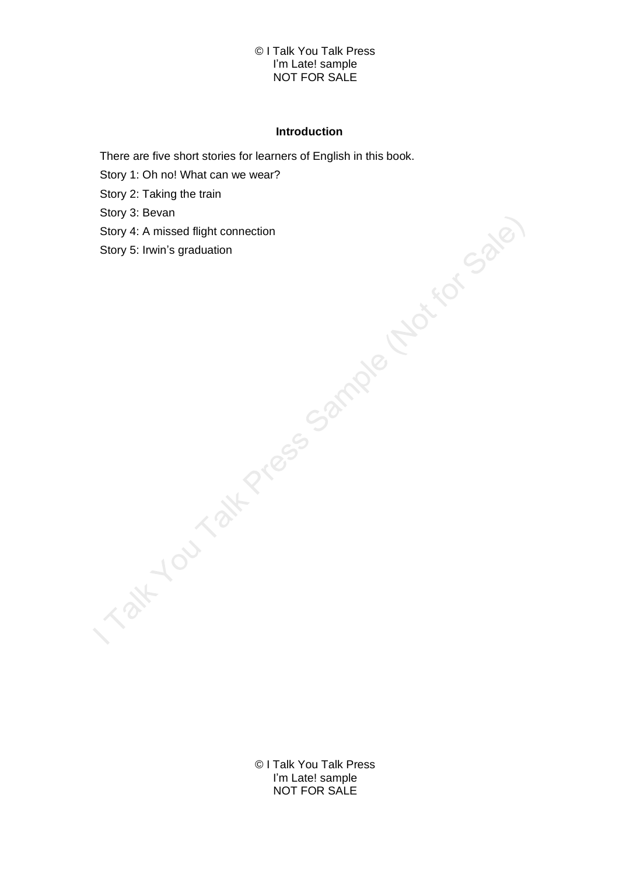## **Introduction**

There are five short stories for learners of English in this book.

Story 1: Oh no! What can we wear?

Story 2: Taking the train

Story 3: Bevan

Story 4: A missed flight connection

Story 5: Irwin's graduation

© I Talk You Talk Press I'm Late! sample NOT FOR SALE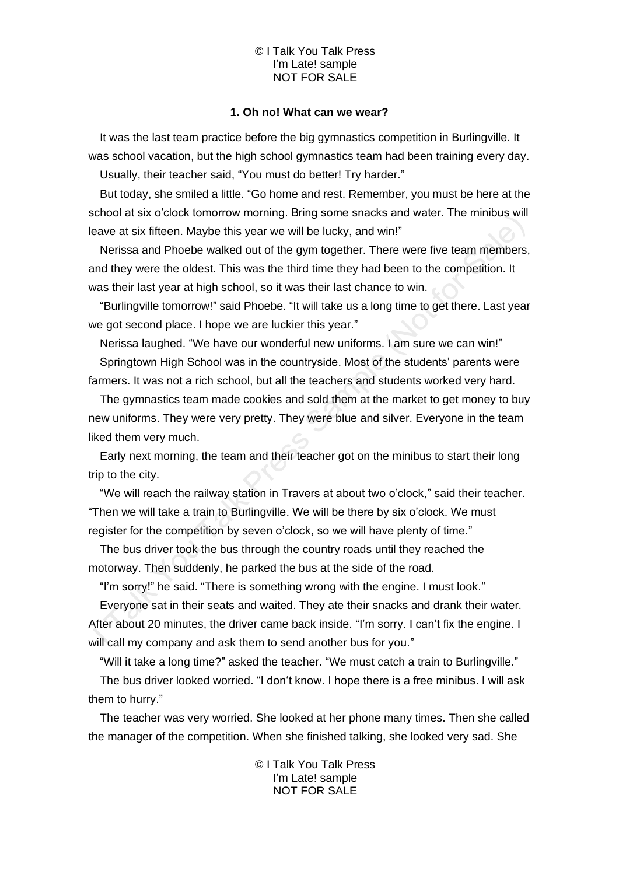## **1. Oh no! What can we wear?**

It was the last team practice before the big gymnastics competition in Burlingville. It was school vacation, but the high school gymnastics team had been training every day. Usually, their teacher said, "You must do better! Try harder."

But today, she smiled a little. "Go home and rest. Remember, you must be here at the school at six o'clock tomorrow morning. Bring some snacks and water. The minibus will leave at six fifteen. Maybe this year we will be lucky, and win!"

Nerissa and Phoebe walked out of the gym together. There were five team members, and they were the oldest. This was the third time they had been to the competition. It was their last year at high school, so it was their last chance to win.

"Burlingville tomorrow!" said Phoebe. "It will take us a long time to get there. Last year we got second place. I hope we are luckier this year."

Nerissa laughed. "We have our wonderful new uniforms. I am sure we can win!" Springtown High School was in the countryside. Most of the students' parents were

farmers. It was not a rich school, but all the teachers and students worked very hard.

The gymnastics team made cookies and sold them at the market to get money to buy new uniforms. They were very pretty. They were blue and silver. Everyone in the team liked them very much.

Early next morning, the team and their teacher got on the minibus to start their long trip to the city.

"We will reach the railway station in Travers at about two o'clock," said their teacher. "Then we will take a train to Burlingville. We will be there by six o'clock. We must register for the competition by seven o'clock, so we will have plenty of time."

The bus driver took the bus through the country roads until they reached the motorway. Then suddenly, he parked the bus at the side of the road.

"I'm sorry!" he said. "There is something wrong with the engine. I must look."

Everyone sat in their seats and waited. They ate their snacks and drank their water. After about 20 minutes, the driver came back inside. "I'm sorry. I can't fix the engine. I will call my company and ask them to send another bus for you."

"Will it take a long time?" asked the teacher. "We must catch a train to Burlingville."

The bus driver looked worried. "I don't know. I hope there is a free minibus. I will ask them to hurry."

The teacher was very worried. She looked at her phone many times. Then she called the manager of the competition. When she finished talking, she looked very sad. She

> © I Talk You Talk Press I'm Late! sample NOT FOR SALE